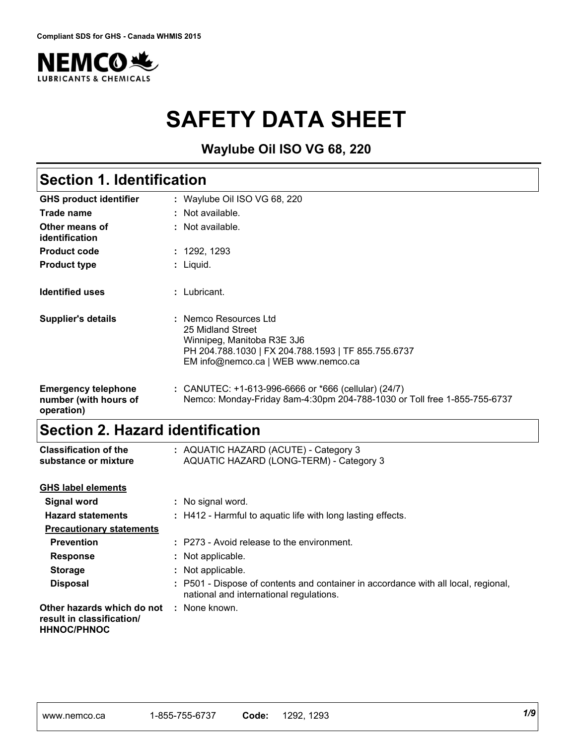

# **SAFETY DATA SHEET**

**Waylube Oil ISO VG 68, 220**

# **Section 1. Identification**

| <b>GHS product identifier</b>                                     | : Waylube Oil ISO VG 68, 220                                                                                                                                           |
|-------------------------------------------------------------------|------------------------------------------------------------------------------------------------------------------------------------------------------------------------|
| Trade name                                                        | : Not available.                                                                                                                                                       |
| Other means of<br>identification                                  | $\therefore$ Not available.                                                                                                                                            |
| <b>Product code</b>                                               | : 1292, 1293                                                                                                                                                           |
| <b>Product type</b>                                               | : Liquid.                                                                                                                                                              |
| <b>Identified uses</b>                                            | : Lubricant.                                                                                                                                                           |
| <b>Supplier's details</b>                                         | : Nemco Resources Ltd<br>25 Midland Street<br>Winnipeg, Manitoba R3E 3J6<br>PH 204.788.1030   FX 204.788.1593   TF 855.755.6737<br>EM info@nemco.ca   WEB www.nemco.ca |
| <b>Emergency telephone</b><br>number (with hours of<br>operation) | : CANUTEC: $+1-613-996-6666$ or $*666$ (cellular) (24/7)<br>Nemco: Monday-Friday 8am-4:30pm 204-788-1030 or Toll free 1-855-755-6737                                   |

# **Section 2. Hazard identification**

| <b>Classification of the</b><br>substance or mixture                          | : AQUATIC HAZARD (ACUTE) - Category 3<br>AQUATIC HAZARD (LONG-TERM) - Category 3                                              |
|-------------------------------------------------------------------------------|-------------------------------------------------------------------------------------------------------------------------------|
| <b>GHS label elements</b>                                                     |                                                                                                                               |
| <b>Signal word</b>                                                            | : No signal word.                                                                                                             |
| <b>Hazard statements</b>                                                      | : H412 - Harmful to aquatic life with long lasting effects.                                                                   |
| <b>Precautionary statements</b>                                               |                                                                                                                               |
| <b>Prevention</b>                                                             | : P273 - Avoid release to the environment.                                                                                    |
| <b>Response</b>                                                               | : Not applicable.                                                                                                             |
| <b>Storage</b>                                                                | : Not applicable.                                                                                                             |
| <b>Disposal</b>                                                               | : P501 - Dispose of contents and container in accordance with all local, regional,<br>national and international regulations. |
| Other hazards which do not<br>result in classification/<br><b>HHNOC/PHNOC</b> | : None known.                                                                                                                 |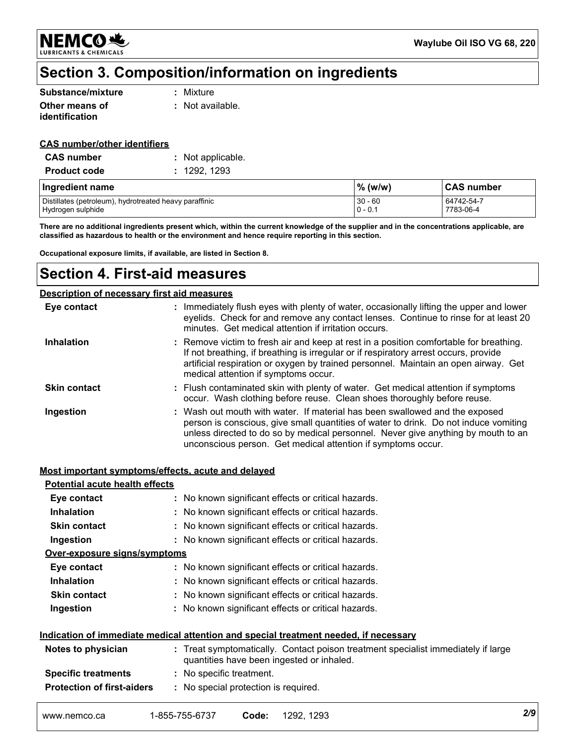**NEMCO头 LUBRICANTS & CHEMICALS** 

### **Section 3. Composition/information on ingredients**

| Substance/mixture | : Mixture        |
|-------------------|------------------|
| Other means of    | : Not available. |
| identification    |                  |

#### **CAS number/other identifiers**

| <b>CAS</b> number   | : Not applicable. |
|---------------------|-------------------|
| <b>Product code</b> | : 1292, 1293      |

| Ingredient name                                        | $%$ (w/w) | <b>CAS number</b> |
|--------------------------------------------------------|-----------|-------------------|
| Distillates (petroleum), hydrotreated heavy paraffinic | $30 - 60$ | 64742-54-7        |
| Hydrogen sulphide                                      | $0 - 0.1$ | 7783-06-4         |

**There are no additional ingredients present which, within the current knowledge of the supplier and in the concentrations applicable, are classified as hazardous to health or the environment and hence require reporting in this section.**

**Occupational exposure limits, if available, are listed in Section 8.**

### **Section 4. First-aid measures**

|                     | Description of necessary first aid measures                                                                                                                                                                                                                                                                              |
|---------------------|--------------------------------------------------------------------------------------------------------------------------------------------------------------------------------------------------------------------------------------------------------------------------------------------------------------------------|
| Eye contact         | : Immediately flush eyes with plenty of water, occasionally lifting the upper and lower<br>eyelids. Check for and remove any contact lenses. Continue to rinse for at least 20<br>minutes. Get medical attention if irritation occurs.                                                                                   |
| <b>Inhalation</b>   | : Remove victim to fresh air and keep at rest in a position comfortable for breathing.<br>If not breathing, if breathing is irregular or if respiratory arrest occurs, provide<br>artificial respiration or oxygen by trained personnel. Maintain an open airway. Get<br>medical attention if symptoms occur.            |
| <b>Skin contact</b> | : Flush contaminated skin with plenty of water. Get medical attention if symptoms<br>occur. Wash clothing before reuse. Clean shoes thoroughly before reuse.                                                                                                                                                             |
| Ingestion           | : Wash out mouth with water. If material has been swallowed and the exposed<br>person is conscious, give small quantities of water to drink. Do not induce vomiting<br>unless directed to do so by medical personnel. Never give anything by mouth to an<br>unconscious person. Get medical attention if symptoms occur. |

### **Most important symptoms/effects, acute and delayed**

| Eye contact<br><b>Inhalation</b><br>: No known significant effects or critical hazards. | : No known significant effects or critical hazards. | Ingestion<br>Over-exposure signs/symptoms | : No known significant effects or critical hazards.<br>: No known significant effects or critical hazards. |
|-----------------------------------------------------------------------------------------|-----------------------------------------------------|-------------------------------------------|------------------------------------------------------------------------------------------------------------|
| <b>Skin contact</b>                                                                     |                                                     |                                           |                                                                                                            |
| : No known significant effects or critical hazards.                                     |                                                     |                                           |                                                                                                            |
|                                                                                         |                                                     |                                           |                                                                                                            |
|                                                                                         |                                                     |                                           |                                                                                                            |
|                                                                                         |                                                     |                                           |                                                                                                            |
|                                                                                         |                                                     |                                           |                                                                                                            |
|                                                                                         |                                                     |                                           |                                                                                                            |
|                                                                                         |                                                     |                                           |                                                                                                            |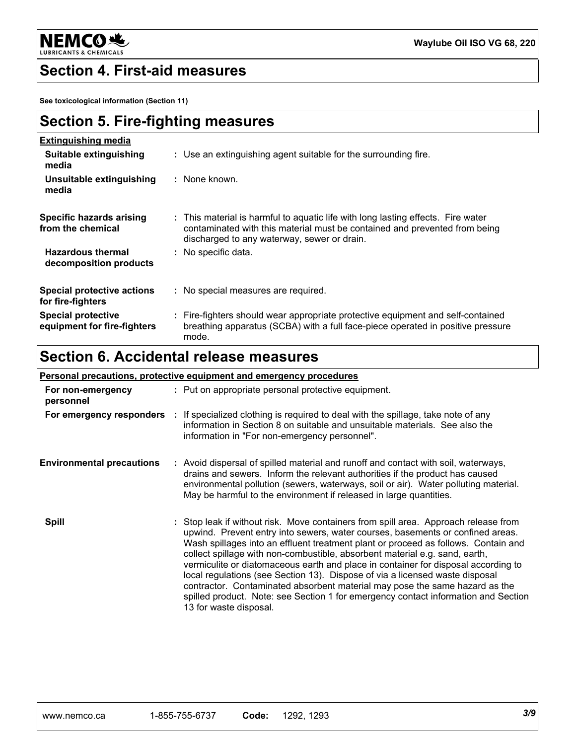

### **Section 4. First-aid measures**

**See toxicological information (Section 11)**

| Section 5. Fire-fighting measures |  |
|-----------------------------------|--|
| <b>Extinguishing media</b>        |  |

| Suitable extinguishing<br>media                          | : Use an extinguishing agent suitable for the surrounding fire.                                                                                                                                               |
|----------------------------------------------------------|---------------------------------------------------------------------------------------------------------------------------------------------------------------------------------------------------------------|
| Unsuitable extinguishing<br>media                        | : None known.                                                                                                                                                                                                 |
| <b>Specific hazards arising</b><br>from the chemical     | : This material is harmful to aquatic life with long lasting effects. Fire water<br>contaminated with this material must be contained and prevented from being<br>discharged to any waterway, sewer or drain. |
| <b>Hazardous thermal</b><br>decomposition products       | : No specific data.                                                                                                                                                                                           |
| <b>Special protective actions</b><br>for fire-fighters   | : No special measures are required.                                                                                                                                                                           |
| <b>Special protective</b><br>equipment for fire-fighters | : Fire-fighters should wear appropriate protective equipment and self-contained<br>breathing apparatus (SCBA) with a full face-piece operated in positive pressure<br>mode.                                   |

# **Section 6. Accidental release measures**

|                                  | <b>Personal precautions, protective equipment and emergency procedures</b>                                                                                                                                                                                                                                                                                                                                                                                                                                                                                                                                                                                                                                      |
|----------------------------------|-----------------------------------------------------------------------------------------------------------------------------------------------------------------------------------------------------------------------------------------------------------------------------------------------------------------------------------------------------------------------------------------------------------------------------------------------------------------------------------------------------------------------------------------------------------------------------------------------------------------------------------------------------------------------------------------------------------------|
| For non-emergency<br>personnel   | : Put on appropriate personal protective equipment.                                                                                                                                                                                                                                                                                                                                                                                                                                                                                                                                                                                                                                                             |
|                                  | For emergency responders : If specialized clothing is required to deal with the spillage, take note of any<br>information in Section 8 on suitable and unsuitable materials. See also the<br>information in "For non-emergency personnel".                                                                                                                                                                                                                                                                                                                                                                                                                                                                      |
| <b>Environmental precautions</b> | : Avoid dispersal of spilled material and runoff and contact with soil, waterways,<br>drains and sewers. Inform the relevant authorities if the product has caused<br>environmental pollution (sewers, waterways, soil or air). Water polluting material.<br>May be harmful to the environment if released in large quantities.                                                                                                                                                                                                                                                                                                                                                                                 |
| <b>Spill</b>                     | : Stop leak if without risk. Move containers from spill area. Approach release from<br>upwind. Prevent entry into sewers, water courses, basements or confined areas.<br>Wash spillages into an effluent treatment plant or proceed as follows. Contain and<br>collect spillage with non-combustible, absorbent material e.g. sand, earth,<br>vermiculite or diatomaceous earth and place in container for disposal according to<br>local regulations (see Section 13). Dispose of via a licensed waste disposal<br>contractor. Contaminated absorbent material may pose the same hazard as the<br>spilled product. Note: see Section 1 for emergency contact information and Section<br>13 for waste disposal. |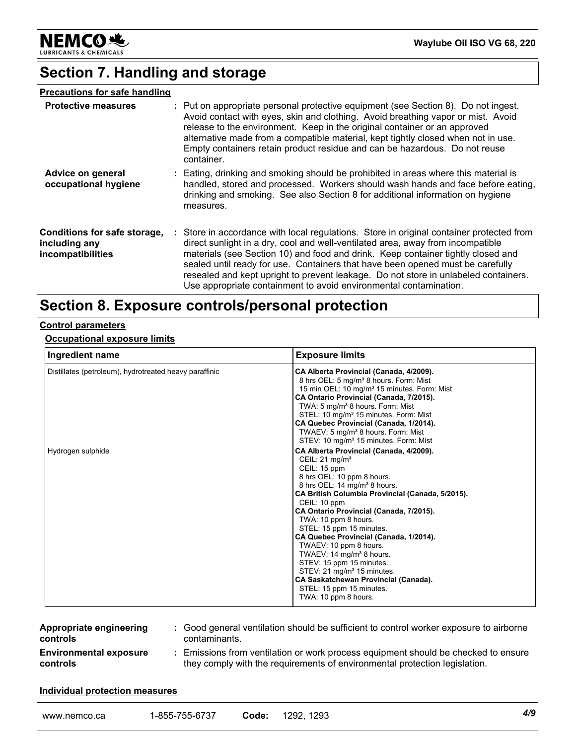

# **Section 7. Handling and storage**

| <b>Precautions for safe handling</b>                               |                                                                                                                                                                                                                                                                                                                                                                                                                                                                                                               |
|--------------------------------------------------------------------|---------------------------------------------------------------------------------------------------------------------------------------------------------------------------------------------------------------------------------------------------------------------------------------------------------------------------------------------------------------------------------------------------------------------------------------------------------------------------------------------------------------|
| <b>Protective measures</b>                                         | : Put on appropriate personal protective equipment (see Section 8). Do not ingest.<br>Avoid contact with eyes, skin and clothing. Avoid breathing vapor or mist. Avoid<br>release to the environment. Keep in the original container or an approved<br>alternative made from a compatible material, kept tightly closed when not in use.<br>Empty containers retain product residue and can be hazardous. Do not reuse<br>container.                                                                          |
| Advice on general<br>occupational hygiene                          | : Eating, drinking and smoking should be prohibited in areas where this material is<br>handled, stored and processed. Workers should wash hands and face before eating,<br>drinking and smoking. See also Section 8 for additional information on hygiene<br>measures.                                                                                                                                                                                                                                        |
| Conditions for safe storage,<br>including any<br>incompatibilities | : Store in accordance with local regulations. Store in original container protected from<br>direct sunlight in a dry, cool and well-ventilated area, away from incompatible<br>materials (see Section 10) and food and drink. Keep container tightly closed and<br>sealed until ready for use. Containers that have been opened must be carefully<br>resealed and kept upright to prevent leakage. Do not store in unlabeled containers.<br>Use appropriate containment to avoid environmental contamination. |

# **Section 8. Exposure controls/personal protection**

### **Control parameters**

### **Occupational exposure limits**

| Ingredient name                                        | <b>Exposure limits</b>                                                                                                                                                                                                                                                                                                                                                                                                                                                                                                                                                                                          |
|--------------------------------------------------------|-----------------------------------------------------------------------------------------------------------------------------------------------------------------------------------------------------------------------------------------------------------------------------------------------------------------------------------------------------------------------------------------------------------------------------------------------------------------------------------------------------------------------------------------------------------------------------------------------------------------|
| Distillates (petroleum), hydrotreated heavy paraffinic | CA Alberta Provincial (Canada, 4/2009).<br>8 hrs OEL: 5 mg/m <sup>3</sup> 8 hours. Form: Mist<br>15 min OEL: 10 mg/m <sup>3</sup> 15 minutes. Form: Mist<br>CA Ontario Provincial (Canada, 7/2015).<br>TWA: 5 mg/m <sup>3</sup> 8 hours. Form: Mist<br>STEL: 10 mg/m <sup>3</sup> 15 minutes. Form: Mist<br>CA Quebec Provincial (Canada, 1/2014).<br>TWAEV: 5 mg/m <sup>3</sup> 8 hours. Form: Mist<br>STEV: 10 mg/m <sup>3</sup> 15 minutes. Form: Mist                                                                                                                                                       |
| Hydrogen sulphide                                      | CA Alberta Provincial (Canada, 4/2009).<br>CEIL: $21 \text{ mg/m}^3$<br>CEIL: 15 ppm<br>8 hrs OEL: 10 ppm 8 hours.<br>8 hrs OEL: 14 mg/m <sup>3</sup> 8 hours.<br>CA British Columbia Provincial (Canada, 5/2015).<br>CEIL: 10 ppm<br>CA Ontario Provincial (Canada, 7/2015).<br>TWA: 10 ppm 8 hours.<br>STEL: 15 ppm 15 minutes.<br>CA Quebec Provincial (Canada, 1/2014).<br>TWAEV: 10 ppm 8 hours.<br>TWAEV: 14 mg/m <sup>3</sup> 8 hours.<br>STEV: 15 ppm 15 minutes.<br>STEV: 21 mg/m <sup>3</sup> 15 minutes.<br>CA Saskatchewan Provincial (Canada).<br>STEL: 15 ppm 15 minutes.<br>TWA: 10 ppm 8 hours. |

| <b>Appropriate engineering</b> |               | Good general ventilation should be sufficient to control worker exposure to airborne |
|--------------------------------|---------------|--------------------------------------------------------------------------------------|
| controls                       | contaminants. |                                                                                      |
| <b>Environmental exposure</b>  |               | Emissions from ventilation or work process equipment should be checked to ensure     |

**controls**

**:** Emissions from ventilation or work process equipment should be checked to ensure they comply with the requirements of environmental protection legislation.

#### **Individual protection measures**

| www.nemco.ca | 7556727<br>$-85F$<br>,<br>01 J /<br>ാാാ-<br>. ບບ-ກ | -<br>Code | 1293<br>292 | 4/9 |  |
|--------------|----------------------------------------------------|-----------|-------------|-----|--|
|--------------|----------------------------------------------------|-----------|-------------|-----|--|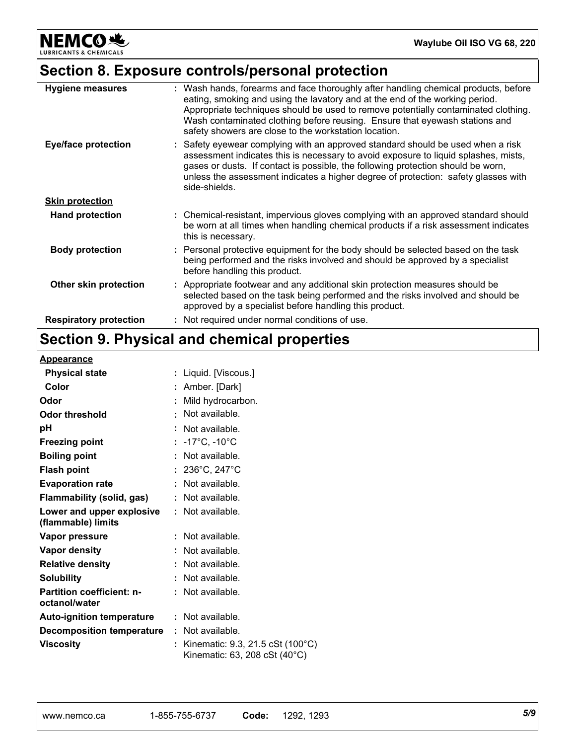**NEMCO头** ANTS & CHEMICALS LUBRIC

# **Section 8. Exposure controls/personal protection**

| <b>Hygiene measures</b>       | : Wash hands, forearms and face thoroughly after handling chemical products, before<br>eating, smoking and using the lavatory and at the end of the working period.<br>Appropriate techniques should be used to remove potentially contaminated clothing.<br>Wash contaminated clothing before reusing. Ensure that eyewash stations and<br>safety showers are close to the workstation location. |
|-------------------------------|---------------------------------------------------------------------------------------------------------------------------------------------------------------------------------------------------------------------------------------------------------------------------------------------------------------------------------------------------------------------------------------------------|
| <b>Eye/face protection</b>    | : Safety eyewear complying with an approved standard should be used when a risk<br>assessment indicates this is necessary to avoid exposure to liquid splashes, mists,<br>gases or dusts. If contact is possible, the following protection should be worn,<br>unless the assessment indicates a higher degree of protection: safety glasses with<br>side-shields.                                 |
| <b>Skin protection</b>        |                                                                                                                                                                                                                                                                                                                                                                                                   |
| <b>Hand protection</b>        | : Chemical-resistant, impervious gloves complying with an approved standard should<br>be worn at all times when handling chemical products if a risk assessment indicates<br>this is necessary.                                                                                                                                                                                                   |
| <b>Body protection</b>        | : Personal protective equipment for the body should be selected based on the task<br>being performed and the risks involved and should be approved by a specialist<br>before handling this product.                                                                                                                                                                                               |
| Other skin protection         | : Appropriate footwear and any additional skin protection measures should be<br>selected based on the task being performed and the risks involved and should be<br>approved by a specialist before handling this product.                                                                                                                                                                         |
| <b>Respiratory protection</b> | : Not required under normal conditions of use.                                                                                                                                                                                                                                                                                                                                                    |

# **Section 9. Physical and chemical properties**

### **Appearance**

| <b>Physical state</b>                             | : Liquid. [Viscous.]                                              |
|---------------------------------------------------|-------------------------------------------------------------------|
| Color                                             | : Amber. [Dark]                                                   |
| Odor                                              | Mild hydrocarbon.                                                 |
| <b>Odor threshold</b>                             | Not available.                                                    |
| рH                                                | : Not available.                                                  |
| <b>Freezing point</b>                             | : $-17^{\circ}$ C, $-10^{\circ}$ C                                |
| <b>Boiling point</b>                              | : Not available.                                                  |
| <b>Flash point</b>                                | : $236^{\circ}$ C, $247^{\circ}$ C                                |
| <b>Evaporation rate</b>                           | : Not available.                                                  |
| Flammability (solid, gas)                         | : Not available.                                                  |
| Lower and upper explosive<br>(flammable) limits   | : Not available.                                                  |
| Vapor pressure                                    | : Not available.                                                  |
| Vapor density                                     | : Not available.                                                  |
| <b>Relative density</b>                           | : Not available.                                                  |
| <b>Solubility</b>                                 | : Not available.                                                  |
| <b>Partition coefficient: n-</b><br>octanol/water | : Not available.                                                  |
| <b>Auto-ignition temperature</b>                  | : Not available.                                                  |
| <b>Decomposition temperature</b>                  | : Not available.                                                  |
| Viscosity                                         | Kinematic: 9.3, 21.5 cSt (100°C)<br>Kinematic: 63, 208 cSt (40°C) |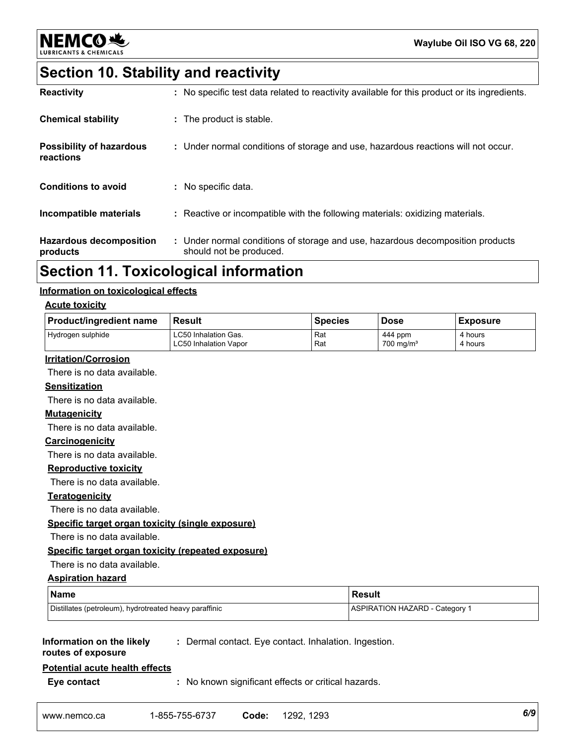

# **Section 10. Stability and reactivity**

| <b>Reactivity</b>                            | : No specific test data related to reactivity available for this product or its ingredients.              |
|----------------------------------------------|-----------------------------------------------------------------------------------------------------------|
| <b>Chemical stability</b>                    | : The product is stable.                                                                                  |
| <b>Possibility of hazardous</b><br>reactions | : Under normal conditions of storage and use, hazardous reactions will not occur.                         |
| <b>Conditions to avoid</b>                   | : No specific data.                                                                                       |
| Incompatible materials                       | : Reactive or incompatible with the following materials: oxidizing materials.                             |
| <b>Hazardous decomposition</b><br>products   | : Under normal conditions of storage and use, hazardous decomposition products<br>should not be produced. |

# **Section 11. Toxicological information**

### **Information on toxicological effects**

### **Acute toxicity**

| <b>Product/ingredient name</b>                         | <b>Result</b>                                         | <b>Species</b>                        | <b>Dose</b>                        | <b>Exposure</b>    |
|--------------------------------------------------------|-------------------------------------------------------|---------------------------------------|------------------------------------|--------------------|
| Hydrogen sulphide                                      | LC50 Inhalation Gas.<br><b>LC50 Inhalation Vapor</b>  | Rat<br>Rat                            | 444 ppm<br>$700$ mg/m <sup>3</sup> | 4 hours<br>4 hours |
| <b>Irritation/Corrosion</b>                            |                                                       |                                       |                                    |                    |
| There is no data available.                            |                                                       |                                       |                                    |                    |
| <b>Sensitization</b>                                   |                                                       |                                       |                                    |                    |
| There is no data available.                            |                                                       |                                       |                                    |                    |
| <b>Mutagenicity</b>                                    |                                                       |                                       |                                    |                    |
| There is no data available.                            |                                                       |                                       |                                    |                    |
| Carcinogenicity                                        |                                                       |                                       |                                    |                    |
| There is no data available.                            |                                                       |                                       |                                    |                    |
| <b>Reproductive toxicity</b>                           |                                                       |                                       |                                    |                    |
| There is no data available.                            |                                                       |                                       |                                    |                    |
| <b>Teratogenicity</b>                                  |                                                       |                                       |                                    |                    |
| There is no data available.                            |                                                       |                                       |                                    |                    |
| Specific target organ toxicity (single exposure)       |                                                       |                                       |                                    |                    |
| There is no data available.                            |                                                       |                                       |                                    |                    |
| Specific target organ toxicity (repeated exposure)     |                                                       |                                       |                                    |                    |
| There is no data available.                            |                                                       |                                       |                                    |                    |
| <b>Aspiration hazard</b>                               |                                                       |                                       |                                    |                    |
| <b>Name</b>                                            |                                                       |                                       | <b>Result</b>                      |                    |
| Distillates (petroleum), hydrotreated heavy paraffinic |                                                       | <b>ASPIRATION HAZARD - Category 1</b> |                                    |                    |
|                                                        |                                                       |                                       |                                    |                    |
| Information on the likely<br>routes of exposure        | : Dermal contact. Eye contact. Inhalation. Ingestion. |                                       |                                    |                    |
| <b>Potential acute health effects</b>                  |                                                       |                                       |                                    |                    |
| Eye contact                                            | : No known significant effects or critical hazards.   |                                       |                                    |                    |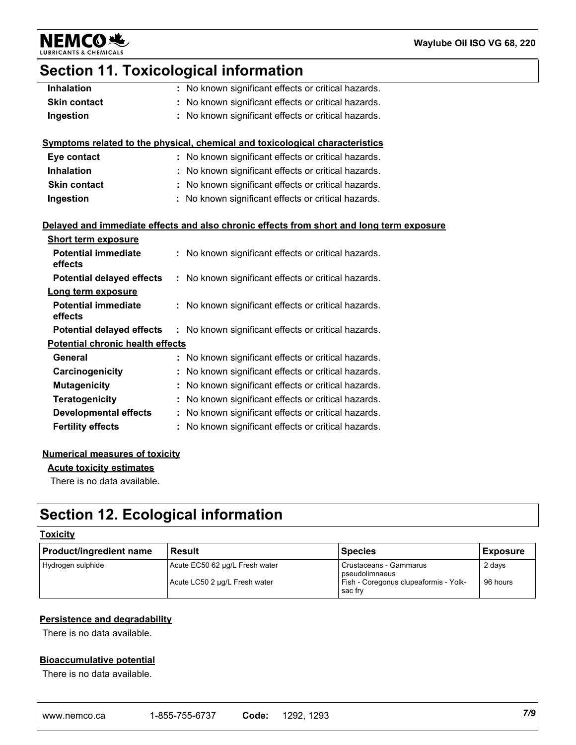**NEMCO头** LUBRIC

### **Waylube Oil ISO VG 68, 220**

# **Section 11. Toxicological information**

| <b>Inhalation</b>                       | : No known significant effects or critical hazards.                                      |
|-----------------------------------------|------------------------------------------------------------------------------------------|
| <b>Skin contact</b>                     | : No known significant effects or critical hazards.                                      |
| Ingestion                               | No known significant effects or critical hazards.                                        |
|                                         |                                                                                          |
|                                         | Symptoms related to the physical, chemical and toxicological characteristics             |
| Eye contact                             | : No known significant effects or critical hazards.                                      |
| <b>Inhalation</b>                       | : No known significant effects or critical hazards.                                      |
| <b>Skin contact</b>                     | : No known significant effects or critical hazards.                                      |
| Ingestion                               | : No known significant effects or critical hazards.                                      |
|                                         |                                                                                          |
|                                         | Delayed and immediate effects and also chronic effects from short and long term exposure |
| <b>Short term exposure</b>              |                                                                                          |
| <b>Potential immediate</b>              | : No known significant effects or critical hazards.                                      |
| effects                                 |                                                                                          |
| <b>Potential delayed effects</b>        | : No known significant effects or critical hazards.                                      |
| Long term exposure                      |                                                                                          |
| <b>Potential immediate</b>              | : No known significant effects or critical hazards.                                      |
| effects                                 |                                                                                          |
| <b>Potential delayed effects</b>        | : No known significant effects or critical hazards.                                      |
| <b>Potential chronic health effects</b> |                                                                                          |
| General                                 | : No known significant effects or critical hazards.                                      |
| Carcinogenicity                         | No known significant effects or critical hazards.                                        |
| <b>Mutagenicity</b>                     | : No known significant effects or critical hazards.                                      |
| Teratogenicity                          | : No known significant effects or critical hazards.                                      |
| <b>Developmental effects</b>            | : No known significant effects or critical hazards.                                      |
| <b>Fertility effects</b>                | : No known significant effects or critical hazards.                                      |

### **Numerical measures of toxicity**

**Acute toxicity estimates**

There is no data available.

# **Section 12. Ecological information**

### **Toxicity**

| <b>Product/ingredient name</b> | Result                         | <b>Species</b>                                   | <b>Exposure</b> |
|--------------------------------|--------------------------------|--------------------------------------------------|-----------------|
| Hydrogen sulphide              | Acute EC50 62 µg/L Fresh water | Crustaceans - Gammarus<br>pseudolimnaeus         | 2 days          |
|                                | Acute LC50 2 ug/L Fresh water  | Fish - Coregonus clupeaformis - Yolk-<br>sac frv | 96 hours        |

### **Persistence and degradability**

There is no data available.

### **Bioaccumulative potential**

There is no data available.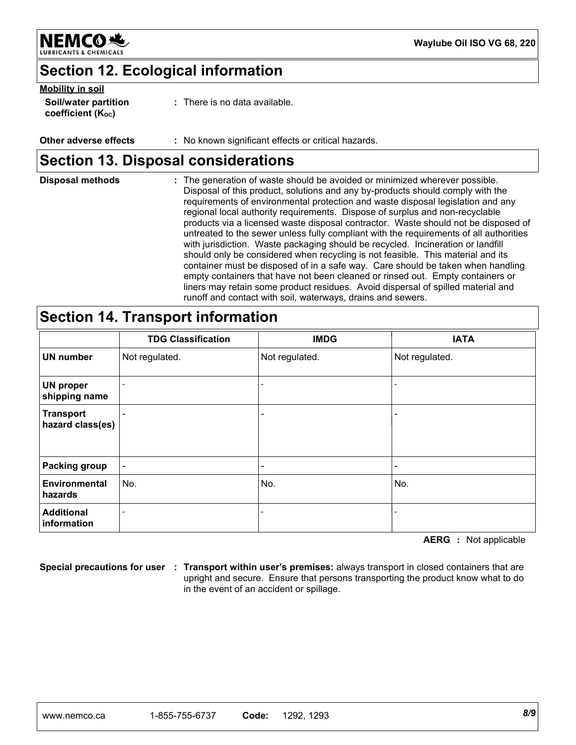

# **Section 12. Ecological information**

### **Mobility in soil**

| Soil/water partition          | : There is no data available. |
|-------------------------------|-------------------------------|
| coefficient $(K_{\text{oc}})$ |                               |

### **Other adverse effects** : No known significant effects or critical hazards.

# **Section 13. Disposal considerations**

| <b>Disposal methods</b> | : The generation of waste should be avoided or minimized wherever possible.<br>Disposal of this product, solutions and any by-products should comply with the<br>requirements of environmental protection and waste disposal legislation and any<br>regional local authority requirements. Dispose of surplus and non-recyclable<br>products via a licensed waste disposal contractor. Waste should not be disposed of<br>untreated to the sewer unless fully compliant with the requirements of all authorities<br>with jurisdiction. Waste packaging should be recycled. Incineration or landfill<br>should only be considered when recycling is not feasible. This material and its<br>container must be disposed of in a safe way. Care should be taken when handling<br>empty containers that have not been cleaned or rinsed out. Empty containers or |
|-------------------------|-------------------------------------------------------------------------------------------------------------------------------------------------------------------------------------------------------------------------------------------------------------------------------------------------------------------------------------------------------------------------------------------------------------------------------------------------------------------------------------------------------------------------------------------------------------------------------------------------------------------------------------------------------------------------------------------------------------------------------------------------------------------------------------------------------------------------------------------------------------|
|                         | liners may retain some product residues. Avoid dispersal of spilled material and<br>runoff and contact with soil, waterways, drains and sewers.                                                                                                                                                                                                                                                                                                                                                                                                                                                                                                                                                                                                                                                                                                             |

### **Section 14. Transport information**

|                                      | <b>TDG Classification</b> | <b>IMDG</b>              | <b>IATA</b>     |
|--------------------------------------|---------------------------|--------------------------|-----------------|
| <b>UN number</b>                     | Not regulated.            | Not regulated.           | Not regulated.  |
| <b>UN proper</b><br>shipping name    |                           |                          |                 |
| <b>Transport</b><br>hazard class(es) |                           | -                        |                 |
| <b>Packing group</b>                 | $\overline{\phantom{0}}$  | $\overline{\phantom{0}}$ | $\qquad \qquad$ |
| Environmental<br>hazards             | No.                       | No.                      | No.             |
| <b>Additional</b><br>information     |                           |                          |                 |

**AERG :** Not applicable

**Special precautions for user Transport within user's premises:** always transport in closed containers that are **:** upright and secure. Ensure that persons transporting the product know what to do in the event of an accident or spillage.